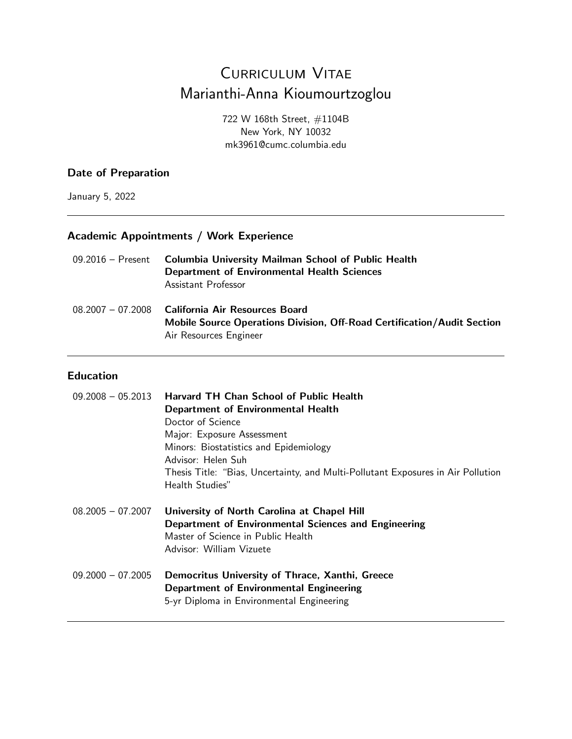# Curriculum Vitae Marianthi-Anna Kioumourtzoglou

722 W 168th Street, #1104B New York, NY 10032 mk3961@cumc.columbia.edu

### **Date of Preparation**

January 5, 2022

### **Academic Appointments / Work Experience**

| 09.2016 – Present | <b>Columbia University Mailman School of Public Health</b><br><b>Department of Environmental Health Sciences</b><br>Assistant Professor               |
|-------------------|-------------------------------------------------------------------------------------------------------------------------------------------------------|
|                   | 08.2007 - 07.2008 California Air Resources Board<br>Mobile Source Operations Division, Off-Road Certification/Audit Section<br>Air Resources Engineer |

### **Education**

|                     | $09.2008 - 05.2013$ Harvard TH Chan School of Public Health                      |  |
|---------------------|----------------------------------------------------------------------------------|--|
|                     | <b>Department of Environmental Health</b>                                        |  |
|                     | Doctor of Science                                                                |  |
|                     | Major: Exposure Assessment                                                       |  |
|                     | Minors: Biostatistics and Epidemiology                                           |  |
|                     | Advisor: Helen Suh                                                               |  |
|                     | Thesis Title: "Bias, Uncertainty, and Multi-Pollutant Exposures in Air Pollution |  |
|                     | Health Studies"                                                                  |  |
|                     |                                                                                  |  |
|                     |                                                                                  |  |
| $08.2005 - 07.2007$ | University of North Carolina at Chapel Hill                                      |  |
|                     | Department of Environmental Sciences and Engineering                             |  |
|                     | Master of Science in Public Health                                               |  |
|                     | Advisor: William Vizuete                                                         |  |
|                     |                                                                                  |  |
| $09.2000 - 07.2005$ | Democritus University of Thrace, Xanthi, Greece                                  |  |
|                     | Department of Environmental Engineering                                          |  |
|                     | 5-yr Diploma in Environmental Engineering                                        |  |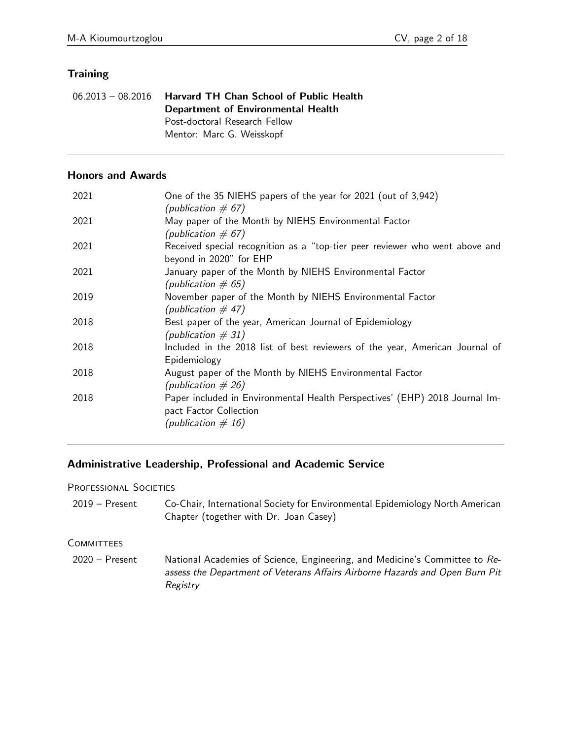# **Training**

| $06.2013 - 08.2016$ Harvard TH Chan School of Public Health |
|-------------------------------------------------------------|
| Department of Environmental Health                          |
| Post-doctoral Research Fellow                               |
| Mentor: Marc G. Weisskopf                                   |

### **Honors and Awards**

| 2021 | One of the 35 NIEHS papers of the year for 2021 (out of 3,942)<br>(publication $\#$ 67)                                         |
|------|---------------------------------------------------------------------------------------------------------------------------------|
| 2021 | May paper of the Month by NIEHS Environmental Factor<br>(publication $\#$ 67)                                                   |
| 2021 | Received special recognition as a "top-tier peer reviewer who went above and<br>beyond in 2020" for EHP                         |
| 2021 | January paper of the Month by NIEHS Environmental Factor<br>(publication $\#$ 65)                                               |
| 2019 | November paper of the Month by NIEHS Environmental Factor<br>(publication $\#$ 47)                                              |
| 2018 | Best paper of the year, American Journal of Epidemiology<br>(publication $\# 31$ )                                              |
| 2018 | Included in the 2018 list of best reviewers of the year, American Journal of<br>Epidemiology                                    |
| 2018 | August paper of the Month by NIEHS Environmental Factor<br>(publication $\# 26$ )                                               |
| 2018 | Paper included in Environmental Health Perspectives' (EHP) 2018 Journal Im-<br>pact Factor Collection<br>(publication $\# 16$ ) |
|      |                                                                                                                                 |

# **Administrative Leadership, Professional and Academic Service**

#### PROFESSIONAL SOCIETIES

2019 – Present Co-Chair, International Society for Environmental Epidemiology North American Chapter (together with Dr. Joan Casey)

#### **COMMITTEES**

2020 – Present National Academies of Science, Engineering, and Medicine's Committee to Reassess the Department of Veterans Affairs Airborne Hazards and Open Burn Pit Registry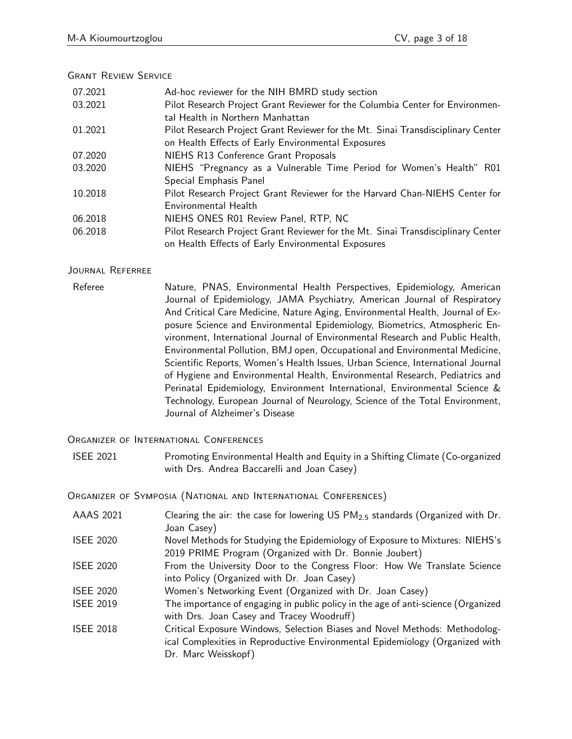### Grant Review Service

| 07.2021 | Ad-hoc reviewer for the NIH BMRD study section                                   |
|---------|----------------------------------------------------------------------------------|
| 03.2021 | Pilot Research Project Grant Reviewer for the Columbia Center for Environmen-    |
|         | tal Health in Northern Manhattan                                                 |
| 01.2021 | Pilot Research Project Grant Reviewer for the Mt. Sinai Transdisciplinary Center |
|         | on Health Effects of Early Environmental Exposures                               |
| 07.2020 | NIEHS R13 Conference Grant Proposals                                             |
| 03.2020 | NIEHS "Pregnancy as a Vulnerable Time Period for Women's Health" R01             |
|         | Special Emphasis Panel                                                           |
| 10.2018 | Pilot Research Project Grant Reviewer for the Harvard Chan-NIEHS Center for      |
|         | Environmental Health                                                             |
| 06.2018 | NIEHS ONES R01 Review Panel, RTP, NC                                             |
| 06.2018 | Pilot Research Project Grant Reviewer for the Mt. Sinai Transdisciplinary Center |
|         | on Health Effects of Early Environmental Exposures                               |

### Journal Referree

Referee **Nature, PNAS, Environmental Health Perspectives**, Epidemiology, American Journal of Epidemiology, JAMA Psychiatry, American Journal of Respiratory And Critical Care Medicine, Nature Aging, Environmental Health, Journal of Exposure Science and Environmental Epidemiology, Biometrics, Atmospheric Environment, International Journal of Environmental Research and Public Health, Environmental Pollution, BMJ open, Occupational and Environmental Medicine, Scientific Reports, Women's Health Issues, Urban Science, International Journal of Hygiene and Environmental Health, Environmental Research, Pediatrics and Perinatal Epidemiology, Environment International, Environmental Science & Technology, European Journal of Neurology, Science of the Total Environment, Journal of Alzheimer's Disease

Organizer of International Conferences

ISEE 2021 Promoting Environmental Health and Equity in a Shifting Climate (Co-organized with Drs. Andrea Baccarelli and Joan Casey)

Organizer of Symposia (National and International Conferences)

AAAS 2021 Clearing the air: the case for lowering US PM2*:*<sup>5</sup> standards (Organized with Dr. Joan Casey) ISEE 2020 Novel Methods for Studying the Epidemiology of Exposure to Mixtures: NIEHS's 2019 PRIME Program (Organized with Dr. Bonnie Joubert) ISEE 2020 From the University Door to the Congress Floor: How We Translate Science into Policy (Organized with Dr. Joan Casey) ISEE 2020 Women's Networking Event (Organized with Dr. Joan Casey) ISEE 2019 The importance of engaging in public policy in the age of anti-science (Organized with Drs. Joan Casey and Tracey Woodruff) ISEE 2018 Critical Exposure Windows, Selection Biases and Novel Methods: Methodological Complexities in Reproductive Environmental Epidemiology (Organized with Dr. Marc Weisskopf)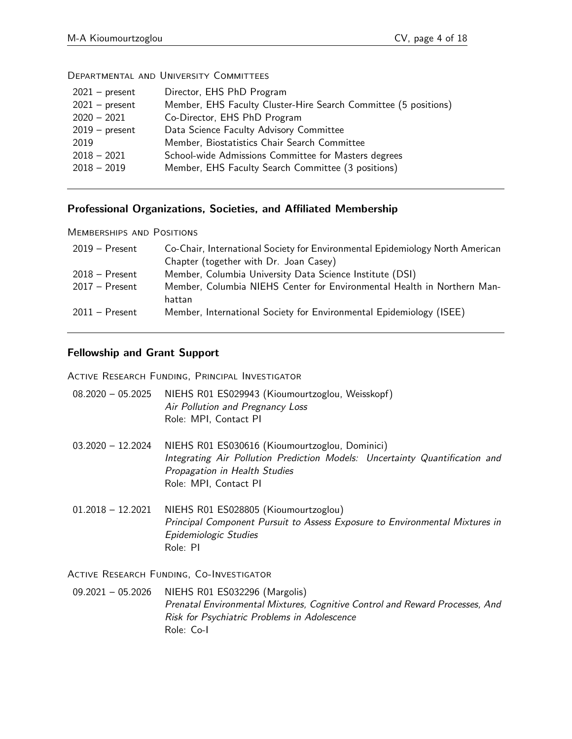| $2021 - present$ | Director, EHS PhD Program                                       |
|------------------|-----------------------------------------------------------------|
| $2021 - present$ | Member, EHS Faculty Cluster-Hire Search Committee (5 positions) |
| $2020 - 2021$    | Co-Director, EHS PhD Program                                    |
| $2019$ – present | Data Science Faculty Advisory Committee                         |
| 2019             | Member, Biostatistics Chair Search Committee                    |
| $2018 - 2021$    | School-wide Admissions Committee for Masters degrees            |
| $2018 - 2019$    | Member, EHS Faculty Search Committee (3 positions)              |
|                  |                                                                 |

Departmental and University Committees

# **Professional Organizations, Societies, and Affiliated Membership**

Memberships and Positions

| $2019 -$ Present | Co-Chair, International Society for Environmental Epidemiology North American |
|------------------|-------------------------------------------------------------------------------|
|                  | Chapter (together with Dr. Joan Casey)                                        |
| $2018 -$ Present | Member, Columbia University Data Science Institute (DSI)                      |
| $2017 -$ Present | Member, Columbia NIEHS Center for Environmental Health in Northern Man-       |
|                  | hattan                                                                        |
| $2011 -$ Present | Member, International Society for Environmental Epidemiology (ISEE)           |

## **Fellowship and Grant Support**

Active Research Funding, Principal Investigator

| $08.2020 - 05.2025$ | NIEHS R01 ES029943 (Kioumourtzoglou, Weisskopf)<br>Air Pollution and Pregnancy Loss<br>Role: MPI, Contact PI                                                                            |
|---------------------|-----------------------------------------------------------------------------------------------------------------------------------------------------------------------------------------|
| $03.2020 - 12.2024$ | NIEHS R01 ES030616 (Kioumourtzoglou, Dominici)<br>Integrating Air Pollution Prediction Models: Uncertainty Quantification and<br>Propagation in Health Studies<br>Role: MPI, Contact PI |
| $01.2018 - 12.2021$ | NIEHS R01 ES028805 (Kioumourtzoglou)<br>Principal Component Pursuit to Assess Exposure to Environmental Mixtures in<br>Epidemiologic Studies                                            |

Active Research Funding, Co-Investigator

Role: PI

09.2021 – 05.2026 NIEHS R01 ES032296 (Margolis) Prenatal Environmental Mixtures, Cognitive Control and Reward Processes, And Risk for Psychiatric Problems in Adolescence Role: Co-I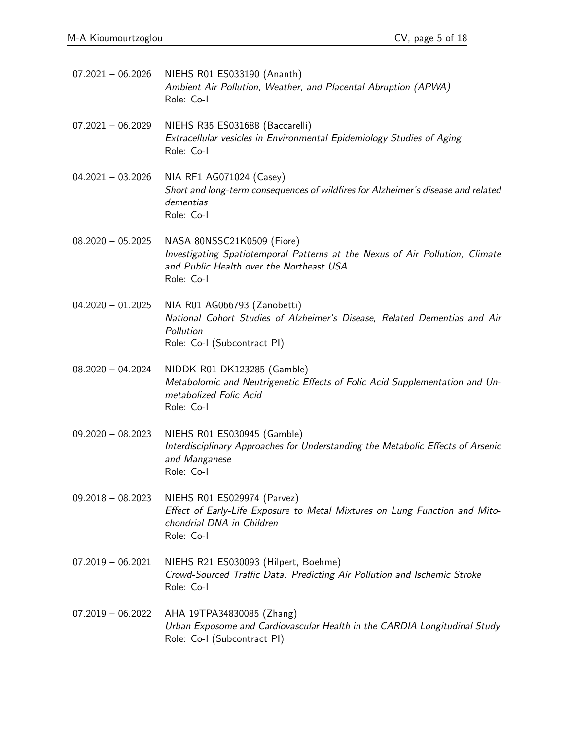07.2021 – 06.2026 NIEHS R01 ES033190 (Ananth) Ambient Air Pollution, Weather, and Placental Abruption (APWA) Role: Co-I

07.2021 - 06.2029 NIEHS R35 ES031688 (Baccarelli) Extracellular vesicles in Environmental Epidemiology Studies of Aging Role: Co-I

- 04.2021 03.2026 NIA RF1 AG071024 (Casey) Short and long-term consequences of wildfires for Alzheimer's disease and related dementias Role: Co-I
- 08.2020 05.2025 NASA 80NSSC21K0509 (Fiore) Investigating Spatiotemporal Patterns at the Nexus of Air Pollution, Climate and Public Health over the Northeast USA Role: Co-I
- 04.2020 01.2025 NIA R01 AG066793 (Zanobetti) National Cohort Studies of Alzheimer's Disease, Related Dementias and Air Pollution Role: Co-I (Subcontract PI)
- 08.2020 04.2024 NIDDK R01 DK123285 (Gamble) Metabolomic and Neutrigenetic Effects of Folic Acid Supplementation and Unmetabolized Folic Acid Role: Co-I
- 09.2020 08.2023 NIEHS R01 ES030945 (Gamble) Interdisciplinary Approaches for Understanding the Metabolic Effects of Arsenic and Manganese Role: Co-I
- 09.2018 08.2023 NIEHS R01 ES029974 (Parvez) Effect of Early-Life Exposure to Metal Mixtures on Lung Function and Mitochondrial DNA in Children Role: Co-I
- 07.2019 06.2021 NIEHS R21 ES030093 (Hilpert, Boehme) Crowd-Sourced Traffic Data: Predicting Air Pollution and Ischemic Stroke Role: Co-I
- 07.2019 06.2022 AHA 19TPA34830085 (Zhang) Urban Exposome and Cardiovascular Health in the CARDIA Longitudinal Study Role: Co-I (Subcontract PI)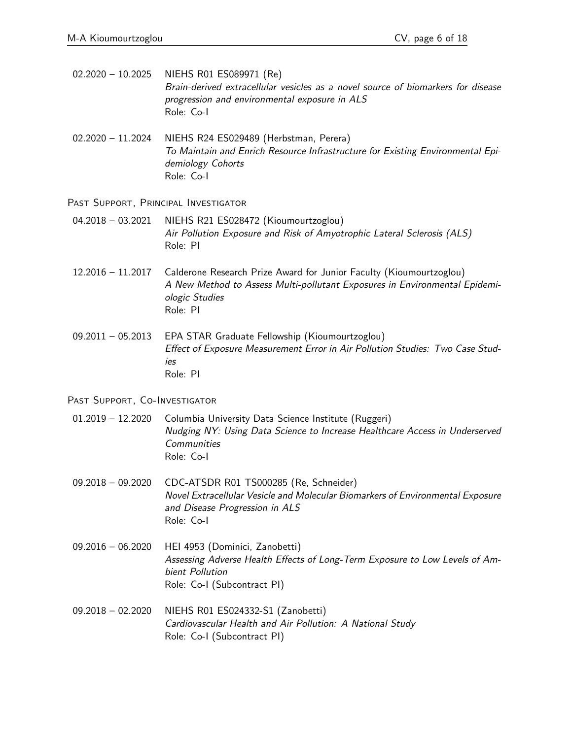02.2020 – 10.2025 NIEHS R01 ES089971 (Re) Brain-derived extracellular vesicles as a novel source of biomarkers for disease progression and environmental exposure in ALS Role: Co-I

02.2020 – 11.2024 NIEHS R24 ES029489 (Herbstman, Perera) To Maintain and Enrich Resource Infrastructure for Existing Environmental Epidemiology Cohorts Role: Co-I

Past Support, Principal Investigator

- 04.2018 03.2021 NIEHS R21 ES028472 (Kioumourtzoglou) Air Pollution Exposure and Risk of Amyotrophic Lateral Sclerosis (ALS) Role: PI
- 12.2016 11.2017 Calderone Research Prize Award for Junior Faculty (Kioumourtzoglou) A New Method to Assess Multi-pollutant Exposures in Environmental Epidemiologic Studies Role: PI
- 09.2011 05.2013 EPA STAR Graduate Fellowship (Kioumourtzoglou) Effect of Exposure Measurement Error in Air Pollution Studies: Two Case Studies Role: PI

PAST SUPPORT, CO-INVESTIGATOR

- 01.2019 12.2020 Columbia University Data Science Institute (Ruggeri) Nudging NY: Using Data Science to Increase Healthcare Access in Underserved **Communities** Role: Co-I
- 09.2018 09.2020 CDC-ATSDR R01 TS000285 (Re, Schneider) Novel Extracellular Vesicle and Molecular Biomarkers of Environmental Exposure and Disease Progression in ALS Role: Co-I
- 09.2016 06.2020 HEI 4953 (Dominici, Zanobetti) Assessing Adverse Health Effects of Long-Term Exposure to Low Levels of Ambient Pollution Role: Co-I (Subcontract PI)
- 09.2018 02.2020 NIEHS R01 ES024332-S1 (Zanobetti) Cardiovascular Health and Air Pollution: A National Study Role: Co-I (Subcontract PI)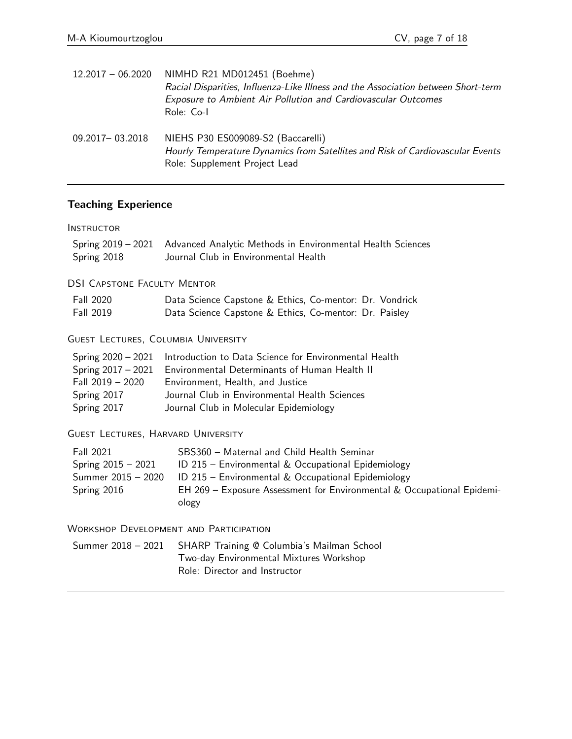| $12.2017 - 06.2020$ | NIMHD R21 MD012451 (Boehme)<br>Racial Disparities, Influenza-Like Illness and the Association between Short-term<br><b>Exposure to Ambient Air Pollution and Cardiovascular Outcomes</b><br>Role: Co-I |
|---------------------|--------------------------------------------------------------------------------------------------------------------------------------------------------------------------------------------------------|
| 09.2017-03.2018     | NIEHS P30 ES009089-S2 (Baccarelli)<br>Hourly Temperature Dynamics from Satellites and Risk of Cardiovascular Events<br>Role: Supplement Project Lead                                                   |

# **Teaching Experience**

#### **INSTRUCTOR**

| Spring 2018                                                                                  | Spring 2019 - 2021 Advanced Analytic Methods in Environmental Health Sciences<br>Journal Club in Environmental Health                                                                                                                     |
|----------------------------------------------------------------------------------------------|-------------------------------------------------------------------------------------------------------------------------------------------------------------------------------------------------------------------------------------------|
| <b>DSI CAPSTONE FACULTY MENTOR</b>                                                           |                                                                                                                                                                                                                                           |
| <b>Fall 2020</b><br>Fall 2019                                                                | Data Science Capstone & Ethics, Co-mentor: Dr. Vondrick<br>Data Science Capstone & Ethics, Co-mentor: Dr. Paisley                                                                                                                         |
| <b>GUEST LECTURES, COLUMBIA UNIVERSITY</b>                                                   |                                                                                                                                                                                                                                           |
| Spring 2020 – 2021<br>Spring $2017 - 2021$<br>Fall 2019 - 2020<br>Spring 2017<br>Spring 2017 | Introduction to Data Science for Environmental Health<br>Environmental Determinants of Human Health II<br>Environment, Health, and Justice<br>Journal Club in Environmental Health Sciences<br>Journal Club in Molecular Epidemiology     |
| <b>GUEST LECTURES, HARVARD UNIVERSITY</b>                                                    |                                                                                                                                                                                                                                           |
| <b>Fall 2021</b><br>Spring $2015 - 2021$<br>Summer 2015 - 2020<br>Spring 2016                | SBS360 - Maternal and Child Health Seminar<br>ID 215 - Environmental & Occupational Epidemiology<br>ID 215 - Environmental & Occupational Epidemiology<br>EH 269 – Exposure Assessment for Environmental & Occupational Epidemi-<br>ology |

#### Workshop Development and Participation

| Summer 2018 - 2021 SHARP Training @ Columbia's Mailman School |
|---------------------------------------------------------------|
| Two-day Environmental Mixtures Workshop                       |
| Role: Director and Instructor                                 |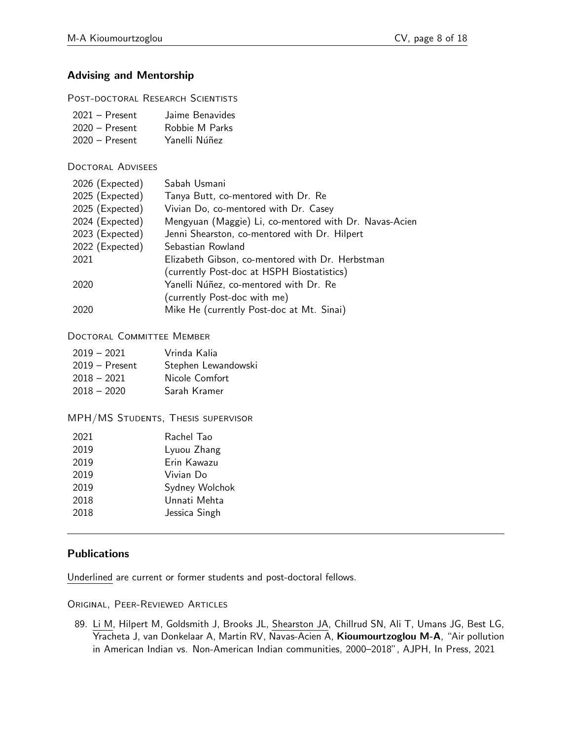# **Advising and Mentorship**

POST-DOCTORAL RESEARCH SCIENTISTS

| $2021 -$ Present | Jaime Benavides |
|------------------|-----------------|
| $2020 -$ Present | Robbie M Parks  |
| $2020 -$ Present | Yanelli Núñez   |

Doctoral Advisees

| 2026 (Expected) | Sabah Usmani                                           |
|-----------------|--------------------------------------------------------|
| 2025 (Expected) | Tanya Butt, co-mentored with Dr. Re                    |
| 2025 (Expected) | Vivian Do, co-mentored with Dr. Casey                  |
| 2024 (Expected) | Mengyuan (Maggie) Li, co-mentored with Dr. Navas-Acien |
| 2023 (Expected) | Jenni Shearston, co-mentored with Dr. Hilpert          |
| 2022 (Expected) | Sebastian Rowland                                      |
| 2021            | Elizabeth Gibson, co-mentored with Dr. Herbstman       |
|                 | (currently Post-doc at HSPH Biostatistics)             |
| 2020            | Yanelli Núñez, co-mentored with Dr. Re                 |
|                 | (currently Post-doc with me)                           |
| 2020            | Mike He (currently Post-doc at Mt. Sinai)              |

### Doctoral Committee Member

| $2019 - 2021$    | Vrinda Kalia        |
|------------------|---------------------|
| $2019 -$ Present | Stephen Lewandowski |
| $2018 - 2021$    | Nicole Comfort      |
| $2018 - 2020$    | Sarah Kramer        |

MPH/MS Students, Thesis supervisor

| 2021 | Rachel Tao     |
|------|----------------|
| 2019 | Lyuou Zhang    |
| 2019 | Erin Kawazu    |
| 2019 | Vivian Do      |
| 2019 | Sydney Wolchok |
| 2018 | Unnati Mehta   |
| 2018 | Jessica Singh  |
|      |                |

## **Publications**

Underlined are current or former students and post-doctoral fellows.

Original, Peer-Reviewed Articles

89. Li M, Hilpert M, Goldsmith J, Brooks JL, Shearston JA, Chillrud SN, Ali T, Umans JG, Best LG, Yracheta J, van Donkelaar A, Martin RV, Navas-Acien A, Kioumourtzoglou M-A, "Air pollution in American Indian vs. Non-American Indian communities, 2000–2018", AJPH, In Press, 2021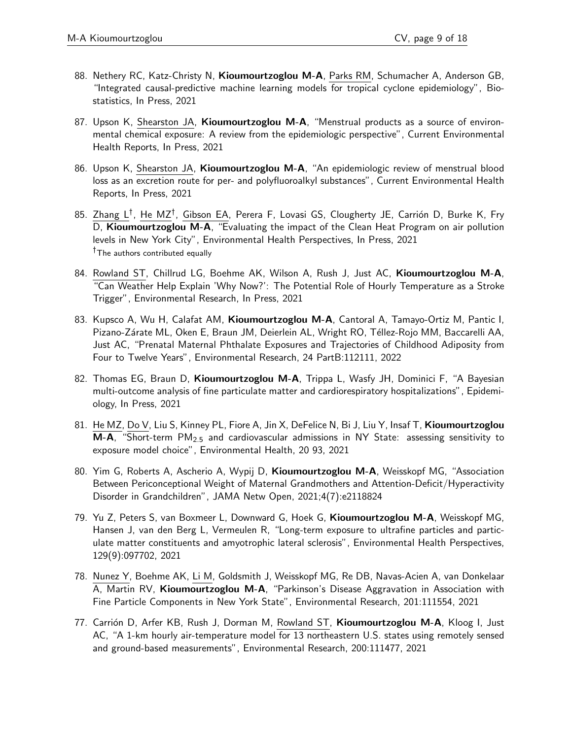- 88. Nethery RC, Katz-Christy N, Kioumourtzoglou M-A, Parks RM, Schumacher A, Anderson GB, "Integrated causal-predictive machine learning models for tropical cyclone epidemiology", Biostatistics, In Press, 2021
- 87. Upson K, Shearston JA, Kioumourtzoglou M-A, "Menstrual products as a source of environmental chemical exposure: A review from the epidemiologic perspective", Current Environmental Health Reports, In Press, 2021
- 86. Upson K, Shearston JA, Kioumourtzoglou M-A, "An epidemiologic review of menstrual blood loss as an excretion route for per- and polyfluoroalkyl substances", Current Environmental Health Reports, In Press, 2021
- 85. Zhang L<sup>†</sup>, He MZ<sup>†</sup>, Gibson EA, Perera F, Lovasi GS, Clougherty JE, Carrión D, Burke K, Fry D, Kioumourtzoglou M-A, "Evaluating the impact of the Clean Heat Program on air pollution levels in New York City", Environmental Health Perspectives, In Press, 2021 <sup>†</sup>The authors contributed equally
- 84. Rowland ST, Chillrud LG, Boehme AK, Wilson A, Rush J, Just AC, Kioumourtzoglou M-A, "Can Weather Help Explain 'Why Now?': The Potential Role of Hourly Temperature as a Stroke Trigger", Environmental Research, In Press, 2021
- 83. Kupsco A, Wu H, Calafat AM, Kioumourtzoglou M-A, Cantoral A, Tamayo-Ortiz M, Pantic I, Pizano-Zárate ML, Oken E, Braun JM, Deierlein AL, Wright RO, Téllez-Rojo MM, Baccarelli AA, Just AC, "Prenatal Maternal Phthalate Exposures and Trajectories of Childhood Adiposity from Four to Twelve Years", Environmental Research, 24 PartB:112111, 2022
- 82. Thomas EG, Braun D, Kioumourtzoglou M-A, Trippa L, Wasfy JH, Dominici F, "A Bayesian multi-outcome analysis of fine particulate matter and cardiorespiratory hospitalizations", Epidemiology, In Press, 2021
- 81. He MZ, Do V, Liu S, Kinney PL, Fiore A, Jin X, DeFelice N, Bi J, Liu Y, Insaf T, Kioumourtzoglou M-A, "Short-term PM2*:*<sup>5</sup> and cardiovascular admissions in NY State: assessing sensitivity to exposure model choice", Environmental Health, 20 93, 2021
- 80. Yim G, Roberts A, Ascherio A, Wypij D, Kioumourtzoglou M-A, Weisskopf MG, "Association Between Periconceptional Weight of Maternal Grandmothers and Attention-Deficit/Hyperactivity Disorder in Grandchildren", JAMA Netw Open, 2021;4(7):e2118824
- 79. Yu Z, Peters S, van Boxmeer L, Downward G, Hoek G, Kioumourtzoglou M-A, Weisskopf MG, Hansen J, van den Berg L, Vermeulen R, "Long-term exposure to ultrafine particles and particulate matter constituents and amyotrophic lateral sclerosis", Environmental Health Perspectives, 129(9):097702, 2021
- 78. Nunez Y, Boehme AK, Li M, Goldsmith J, Weisskopf MG, Re DB, Navas-Acien A, van Donkelaar A, Martin RV, Kioumourtzoglou M-A, "Parkinson's Disease Aggravation in Association with Fine Particle Components in New York State", Environmental Research, 201:111554, 2021
- 77. Carrión D, Arfer KB, Rush J, Dorman M, Rowland ST, Kioumourtzoglou M-A, Kloog I, Just AC, "A 1-km hourly air-temperature model for 13 northeastern U.S. states using remotely sensed and ground-based measurements", Environmental Research, 200:111477, 2021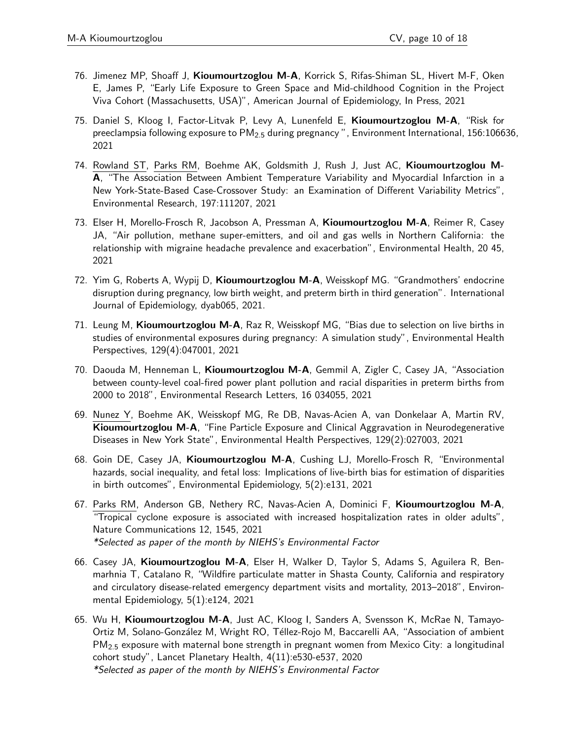- 76. Jimenez MP, Shoaff J, Kioumourtzoglou M-A, Korrick S, Rifas-Shiman SL, Hivert M-F, Oken E, James P, "Early Life Exposure to Green Space and Mid-childhood Cognition in the Project Viva Cohort (Massachusetts, USA)", American Journal of Epidemiology, In Press, 2021
- 75. Daniel S, Kloog I, Factor-Litvak P, Levy A, Lunenfeld E, Kioumourtzoglou M-A, "Risk for preeclampsia following exposure to PM2*:*<sup>5</sup> during pregnancy ", Environment International, 156:106636, 2021
- 74. Rowland ST, Parks RM, Boehme AK, Goldsmith J, Rush J, Just AC, Kioumourtzoglou M-A, "The Association Between Ambient Temperature Variability and Myocardial Infarction in a New York-State-Based Case-Crossover Study: an Examination of Different Variability Metrics", Environmental Research, 197:111207, 2021
- 73. Elser H, Morello-Frosch R, Jacobson A, Pressman A, Kioumourtzoglou M-A, Reimer R, Casey JA, "Air pollution, methane super-emitters, and oil and gas wells in Northern California: the relationship with migraine headache prevalence and exacerbation", Environmental Health, 20 45, 2021
- 72. Yim G, Roberts A, Wypij D, Kioumourtzoglou M-A, Weisskopf MG. "Grandmothers' endocrine disruption during pregnancy, low birth weight, and preterm birth in third generation". International Journal of Epidemiology, dyab065, 2021.
- 71. Leung M, Kioumourtzoglou M-A, Raz R, Weisskopf MG, "Bias due to selection on live births in studies of environmental exposures during pregnancy: A simulation study", Environmental Health Perspectives, 129(4):047001, 2021
- 70. Daouda M, Henneman L, Kioumourtzoglou M-A, Gemmil A, Zigler C, Casey JA, "Association between county-level coal-fired power plant pollution and racial disparities in preterm births from 2000 to 2018", Environmental Research Letters, 16 034055, 2021
- 69. Nunez Y, Boehme AK, Weisskopf MG, Re DB, Navas-Acien A, van Donkelaar A, Martin RV, Kioumourtzoglou M-A, "Fine Particle Exposure and Clinical Aggravation in Neurodegenerative Diseases in New York State", Environmental Health Perspectives, 129(2):027003, 2021
- 68. Goin DE, Casey JA, Kioumourtzoglou M-A, Cushing LJ, Morello-Frosch R, "Environmental hazards, social inequality, and fetal loss: Implications of live-birth bias for estimation of disparities in birth outcomes", Environmental Epidemiology, 5(2):e131, 2021
- 67. Parks RM, Anderson GB, Nethery RC, Navas-Acien A, Dominici F, Kioumourtzoglou M-A, "Tropical cyclone exposure is associated with increased hospitalization rates in older adults", Nature Communications 12, 1545, 2021 \*Selected as paper of the month by NIEHS's Environmental Factor
- 66. Casey JA, Kioumourtzoglou M-A, Elser H, Walker D, Taylor S, Adams S, Aguilera R, Benmarhnia T, Catalano R, "Wildfire particulate matter in Shasta County, California and respiratory and circulatory disease-related emergency department visits and mortality, 2013–2018", Environmental Epidemiology, 5(1):e124, 2021
- 65. Wu H, Kioumourtzoglou M-A, Just AC, Kloog I, Sanders A, Svensson K, McRae N, Tamayo-Ortiz M, Solano-González M, Wright RO, Téllez-Rojo M, Baccarelli AA, "Association of ambient PM2*:*<sup>5</sup> exposure with maternal bone strength in pregnant women from Mexico City: a longitudinal cohort study", Lancet Planetary Health, 4(11):e530-e537, 2020 \*Selected as paper of the month by NIEHS's Environmental Factor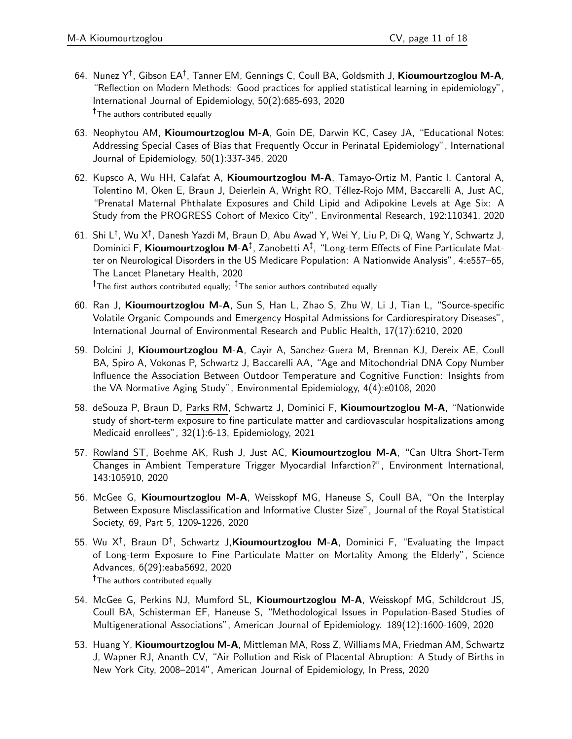- 64. Nunez Y<sup>†</sup>, Gibson EA<sup>†</sup>, Tanner EM, Gennings C, Coull BA, Goldsmith J, **Kioumourtzoglou M-A**, "Reflection on Modern Methods: Good practices for applied statistical learning in epidemiology", International Journal of Epidemiology, 50(2):685-693, 2020 <sup>†</sup>The authors contributed equally
- 63. Neophytou AM, Kioumourtzoglou M-A, Goin DE, Darwin KC, Casey JA, "Educational Notes: Addressing Special Cases of Bias that Frequently Occur in Perinatal Epidemiology", International Journal of Epidemiology, 50(1):337-345, 2020
- 62. Kupsco A, Wu HH, Calafat A, Kioumourtzoglou M-A, Tamayo-Ortiz M, Pantic I, Cantoral A, Tolentino M, Oken E, Braun J, Deierlein A, Wright RO, Téllez-Rojo MM, Baccarelli A, Just AC, "Prenatal Maternal Phthalate Exposures and Child Lipid and Adipokine Levels at Age Six: A Study from the PROGRESS Cohort of Mexico City", Environmental Research, 192:110341, 2020
- 61. Shi L† , Wu X† , Danesh Yazdi M, Braun D, Abu Awad Y, Wei Y, Liu P, Di Q, Wang Y, Schwartz J, Dominici F, Kioumourtzoglou M-A<sup>‡</sup>, Zanobetti A<sup>‡</sup>, "Long-term Effects of Fine Particulate Matter on Neurological Disorders in the US Medicare Population: A Nationwide Analysis", 4:e557–65, The Lancet Planetary Health, 2020

<sup>†</sup>The first authors contributed equally;  $\frac{1}{4}$ The senior authors contributed equally

- 60. Ran J, Kioumourtzoglou M-A, Sun S, Han L, Zhao S, Zhu W, Li J, Tian L, "Source-specific Volatile Organic Compounds and Emergency Hospital Admissions for Cardiorespiratory Diseases", International Journal of Environmental Research and Public Health, 17(17):6210, 2020
- 59. Dolcini J, Kioumourtzoglou M-A, Cayir A, Sanchez-Guera M, Brennan KJ, Dereix AE, Coull BA, Spiro A, Vokonas P, Schwartz J, Baccarelli AA, "Age and Mitochondrial DNA Copy Number Influence the Association Between Outdoor Temperature and Cognitive Function: Insights from the VA Normative Aging Study", Environmental Epidemiology, 4(4):e0108, 2020
- 58. deSouza P, Braun D, Parks RM, Schwartz J, Dominici F, Kioumourtzoglou M-A, "Nationwide study of short-term exposure to fine particulate matter and cardiovascular hospitalizations among Medicaid enrollees", 32(1):6-13, Epidemiology, 2021
- 57. Rowland ST, Boehme AK, Rush J, Just AC, Kioumourtzoglou M-A, "Can Ultra Short-Term Changes in Ambient Temperature Trigger Myocardial Infarction?", Environment International, 143:105910, 2020
- 56. McGee G, Kioumourtzoglou M-A, Weisskopf MG, Haneuse S, Coull BA, "On the Interplay Between Exposure Misclassification and Informative Cluster Size", Journal of the Royal Statistical Society, 69, Part 5, 1209-1226, 2020
- 55. Wu X<sup>†</sup>, Braun D<sup>†</sup>, Schwartz J,**Kioumourtzoglou M-A**, Dominici F, "Evaluating the Impact of Long-term Exposure to Fine Particulate Matter on Mortality Among the Elderly", Science Advances, 6(29):eaba5692, 2020 <sup>†</sup>The authors contributed equally
- 54. McGee G, Perkins NJ, Mumford SL, Kioumourtzoglou M-A, Weisskopf MG, Schildcrout JS, Coull BA, Schisterman EF, Haneuse S, "Methodological Issues in Population-Based Studies of Multigenerational Associations", American Journal of Epidemiology. 189(12):1600-1609, 2020
- 53. Huang Y, Kioumourtzoglou M-A, Mittleman MA, Ross Z, Williams MA, Friedman AM, Schwartz J, Wapner RJ, Ananth CV, "Air Pollution and Risk of Placental Abruption: A Study of Births in New York City, 2008–2014", American Journal of Epidemiology, In Press, 2020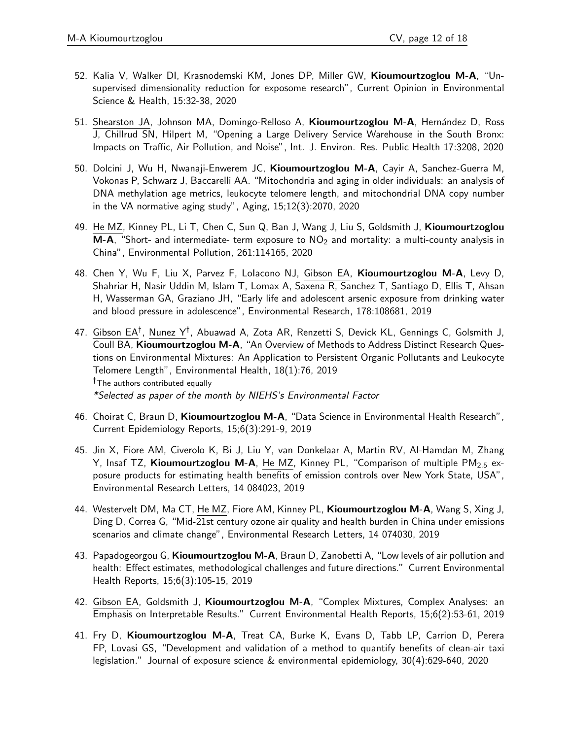- 52. Kalia V, Walker DI, Krasnodemski KM, Jones DP, Miller GW, Kioumourtzoglou M-A, "Unsupervised dimensionality reduction for exposome research", Current Opinion in Environmental Science & Health, 15:32-38, 2020
- 51. Shearston JA, Johnson MA, Domingo-Relloso A, Kioumourtzoglou M-A, Hernández D, Ross J, Chillrud SN, Hilpert M, "Opening a Large Delivery Service Warehouse in the South Bronx: Impacts on Traffic, Air Pollution, and Noise", Int. J. Environ. Res. Public Health 17:3208, 2020
- 50. Dolcini J, Wu H, Nwanaji-Enwerem JC, Kioumourtzoglou M-A, Cayir A, Sanchez-Guerra M, Vokonas P, Schwarz J, Baccarelli AA. "Mitochondria and aging in older individuals: an analysis of DNA methylation age metrics, leukocyte telomere length, and mitochondrial DNA copy number in the VA normative aging study", Aging, 15;12(3):2070, 2020
- 49. He MZ, Kinney PL, Li T, Chen C, Sun Q, Ban J, Wang J, Liu S, Goldsmith J, Kioumourtzoglou  $M-A$ , "Short- and intermediate- term exposure to  $NO<sub>2</sub>$  and mortality: a multi-county analysis in China", Environmental Pollution, 261:114165, 2020
- 48. Chen Y, Wu F, Liu X, Parvez F, Lolacono NJ, Gibson EA, Kioumourtzoglou M-A, Levy D, Shahriar H, Nasir Uddin M, Islam T, Lomax A, Saxena R, Sanchez T, Santiago D, Ellis T, Ahsan H, Wasserman GA, Graziano JH, "Early life and adolescent arsenic exposure from drinking water and blood pressure in adolescence", Environmental Research, 178:108681, 2019
- 47. Gibson EA†, Nunez Y†, Abuawad A, Zota AR, Renzetti S, Devick KL, Gennings C, Golsmith J, Coull BA, Kioumourtzoglou M-A, "An Overview of Methods to Address Distinct Research Questions on Environmental Mixtures: An Application to Persistent Organic Pollutants and Leukocyte Telomere Length", Environmental Health, 18(1):76, 2019  $<sup>†</sup>$ The authors contributed equally</sup> \*Selected as paper of the month by NIEHS's Environmental Factor
- 46. Choirat C, Braun D, Kioumourtzoglou M-A, "Data Science in Environmental Health Research", Current Epidemiology Reports, 15;6(3):291-9, 2019
- 45. Jin X, Fiore AM, Civerolo K, Bi J, Liu Y, van Donkelaar A, Martin RV, Al-Hamdan M, Zhang Y, Insaf TZ, Kioumourtzoglou M-A, He MZ, Kinney PL, "Comparison of multiple PM2*:*<sup>5</sup> exposure products for estimating health benefits of emission controls over New York State, USA", Environmental Research Letters, 14 084023, 2019
- 44. Westervelt DM, Ma CT, He MZ, Fiore AM, Kinney PL, Kioumourtzoglou M-A, Wang S, Xing J, Ding D, Correa G, "Mid-21st century ozone air quality and health burden in China under emissions scenarios and climate change", Environmental Research Letters, 14 074030, 2019
- 43. Papadogeorgou G, **Kioumourtzoglou M-A**, Braun D, Zanobetti A, "Low levels of air pollution and health: Effect estimates, methodological challenges and future directions." Current Environmental Health Reports, 15;6(3):105-15, 2019
- 42. Gibson EA, Goldsmith J, Kioumourtzoglou M-A, "Complex Mixtures, Complex Analyses: an Emphasis on Interpretable Results." Current Environmental Health Reports, 15;6(2):53-61, 2019
- 41. Fry D, Kioumourtzoglou M-A, Treat CA, Burke K, Evans D, Tabb LP, Carrion D, Perera FP, Lovasi GS, "Development and validation of a method to quantify benefits of clean-air taxi legislation." Journal of exposure science & environmental epidemiology, 30(4):629-640, 2020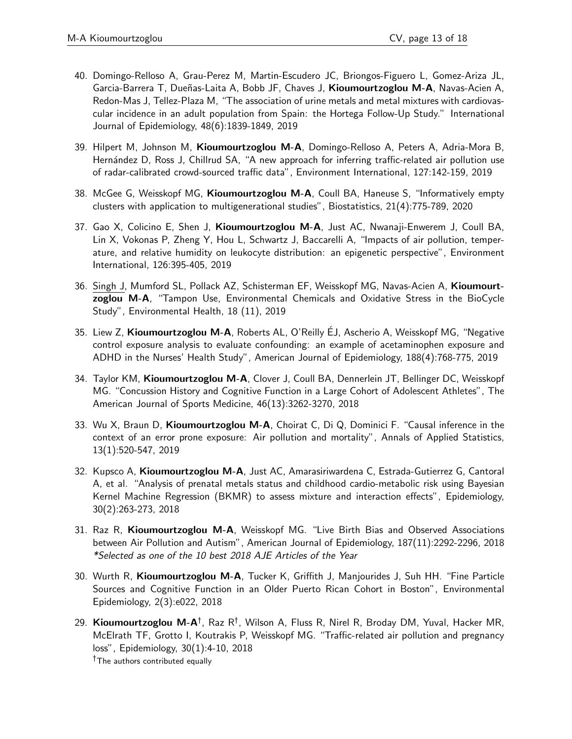- 40. Domingo-Relloso A, Grau-Perez M, Martin-Escudero JC, Briongos-Figuero L, Gomez-Ariza JL, Garcia-Barrera T, Dueñas-Laita A, Bobb JF, Chaves J, Kioumourtzoglou M-A, Navas-Acien A, Redon-Mas J, Tellez-Plaza M, "The association of urine metals and metal mixtures with cardiovascular incidence in an adult population from Spain: the Hortega Follow-Up Study." International Journal of Epidemiology, 48(6):1839-1849, 2019
- 39. Hilpert M, Johnson M, Kioumourtzoglou M-A, Domingo-Relloso A, Peters A, Adria-Mora B, Hernández D, Ross J, Chillrud SA, "A new approach for inferring traffic-related air pollution use of radar-calibrated crowd-sourced traffic data", Environment International, 127:142-159, 2019
- 38. McGee G, Weisskopf MG, Kioumourtzoglou M-A, Coull BA, Haneuse S, "Informatively empty clusters with application to multigenerational studies", Biostatistics, 21(4):775-789, 2020
- 37. Gao X, Colicino E, Shen J, Kioumourtzoglou M-A, Just AC, Nwanaji-Enwerem J, Coull BA, Lin X, Vokonas P, Zheng Y, Hou L, Schwartz J, Baccarelli A, "Impacts of air pollution, temperature, and relative humidity on leukocyte distribution: an epigenetic perspective", Environment International, 126:395-405, 2019
- 36. Singh J, Mumford SL, Pollack AZ, Schisterman EF, Weisskopf MG, Navas-Acien A, Kioumourtzoglou M-A, "Tampon Use, Environmental Chemicals and Oxidative Stress in the BioCycle Study", Environmental Health, 18 (11), 2019
- 35. Liew Z, Kioumourtzoglou M-A, Roberts AL, O'Reilly EJ, Ascherio A, Weisskopf MG, "Negative control exposure analysis to evaluate confounding: an example of acetaminophen exposure and ADHD in the Nurses' Health Study", American Journal of Epidemiology, 188(4):768-775, 2019
- 34. Taylor KM, Kioumourtzoglou M-A, Clover J, Coull BA, Dennerlein JT, Bellinger DC, Weisskopf MG. "Concussion History and Cognitive Function in a Large Cohort of Adolescent Athletes", The American Journal of Sports Medicine, 46(13):3262-3270, 2018
- 33. Wu X, Braun D, Kioumourtzoglou M-A, Choirat C, Di Q, Dominici F. "Causal inference in the context of an error prone exposure: Air pollution and mortality", Annals of Applied Statistics, 13(1):520-547, 2019
- 32. Kupsco A, Kioumourtzoglou M-A, Just AC, Amarasiriwardena C, Estrada-Gutierrez G, Cantoral A, et al. "Analysis of prenatal metals status and childhood cardio-metabolic risk using Bayesian Kernel Machine Regression (BKMR) to assess mixture and interaction effects", Epidemiology, 30(2):263-273, 2018
- 31. Raz R, Kioumourtzoglou M-A, Weisskopf MG. "Live Birth Bias and Observed Associations between Air Pollution and Autism", American Journal of Epidemiology, 187(11):2292-2296, 2018 \*Selected as one of the 10 best 2018 AJE Articles of the Year
- 30. Wurth R, Kioumourtzoglou M-A, Tucker K, Griffith J, Manjourides J, Suh HH. "Fine Particle Sources and Cognitive Function in an Older Puerto Rican Cohort in Boston", Environmental Epidemiology, 2(3):e022, 2018
- 29. Kioumourtzoglou M-A<sup>†</sup>, Raz R<sup>†</sup>, Wilson A, Fluss R, Nirel R, Broday DM, Yuval, Hacker MR, McElrath TF, Grotto I, Koutrakis P, Weisskopf MG. "Traffic-related air pollution and pregnancy loss", Epidemiology, 30(1):4-10, 2018 <sup>†</sup>The authors contributed equally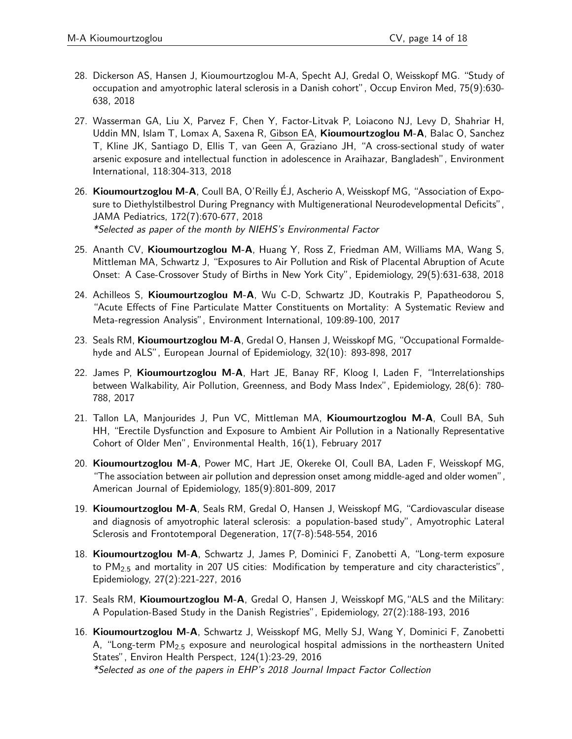- 28. Dickerson AS, Hansen J, Kioumourtzoglou M-A, Specht AJ, Gredal O, Weisskopf MG. "Study of occupation and amyotrophic lateral sclerosis in a Danish cohort", Occup Environ Med, 75(9):630- 638, 2018
- 27. Wasserman GA, Liu X, Parvez F, Chen Y, Factor-Litvak P, Loiacono NJ, Levy D, Shahriar H, Uddin MN, Islam T, Lomax A, Saxena R, Gibson EA, Kioumourtzoglou M-A, Balac O, Sanchez T, Kline JK, Santiago D, Ellis T, van Geen A, Graziano JH, "A cross-sectional study of water arsenic exposure and intellectual function in adolescence in Araihazar, Bangladesh", Environment International, 118:304-313, 2018
- 26. Kioumourtzoglou M-A, Coull BA, O'Reilly EJ, Ascherio A, Weisskopf MG, "Association of Exposure to Diethylstilbestrol During Pregnancy with Multigenerational Neurodevelopmental Deficits", JAMA Pediatrics, 172(7):670-677, 2018 \*Selected as paper of the month by NIEHS's Environmental Factor
- 25. Ananth CV, Kioumourtzoglou M-A, Huang Y, Ross Z, Friedman AM, Williams MA, Wang S, Mittleman MA, Schwartz J, "Exposures to Air Pollution and Risk of Placental Abruption of Acute Onset: A Case-Crossover Study of Births in New York City", Epidemiology, 29(5):631-638, 2018
- 24. Achilleos S, Kioumourtzoglou M-A, Wu C-D, Schwartz JD, Koutrakis P, Papatheodorou S, "Acute Effects of Fine Particulate Matter Constituents on Mortality: A Systematic Review and Meta-regression Analysis", Environment International, 109:89-100, 2017
- 23. Seals RM, Kioumourtzoglou M-A, Gredal O, Hansen J, Weisskopf MG, "Occupational Formaldehyde and ALS", European Journal of Epidemiology, 32(10): 893-898, 2017
- 22. James P, Kioumourtzoglou M-A, Hart JE, Banay RF, Kloog I, Laden F, "Interrelationships between Walkability, Air Pollution, Greenness, and Body Mass Index", Epidemiology, 28(6): 780- 788, 2017
- 21. Tallon LA, Manjourides J, Pun VC, Mittleman MA, Kioumourtzoglou M-A, Coull BA, Suh HH, "Erectile Dysfunction and Exposure to Ambient Air Pollution in a Nationally Representative Cohort of Older Men", Environmental Health, 16(1), February 2017
- 20. Kioumourtzoglou M-A, Power MC, Hart JE, Okereke OI, Coull BA, Laden F, Weisskopf MG, "The association between air pollution and depression onset among middle-aged and older women", American Journal of Epidemiology, 185(9):801-809, 2017
- 19. Kioumourtzoglou M-A, Seals RM, Gredal O, Hansen J, Weisskopf MG, "Cardiovascular disease and diagnosis of amyotrophic lateral sclerosis: a population-based study", Amyotrophic Lateral Sclerosis and Frontotemporal Degeneration, 17(7-8):548-554, 2016
- 18. Kioumourtzoglou M-A, Schwartz J, James P, Dominici F, Zanobetti A, "Long-term exposure to PM2*:*<sup>5</sup> and mortality in 207 US cities: Modification by temperature and city characteristics", Epidemiology, 27(2):221-227, 2016
- 17. Seals RM, Kioumourtzoglou M-A, Gredal O, Hansen J, Weisskopf MG, "ALS and the Military: A Population-Based Study in the Danish Registries", Epidemiology, 27(2):188-193, 2016
- 16. Kioumourtzoglou M-A, Schwartz J, Weisskopf MG, Melly SJ, Wang Y, Dominici F, Zanobetti A, "Long-term PM2*:*<sup>5</sup> exposure and neurological hospital admissions in the northeastern United States", Environ Health Perspect, 124(1):23-29, 2016 \*Selected as one of the papers in EHP's 2018 Journal Impact Factor Collection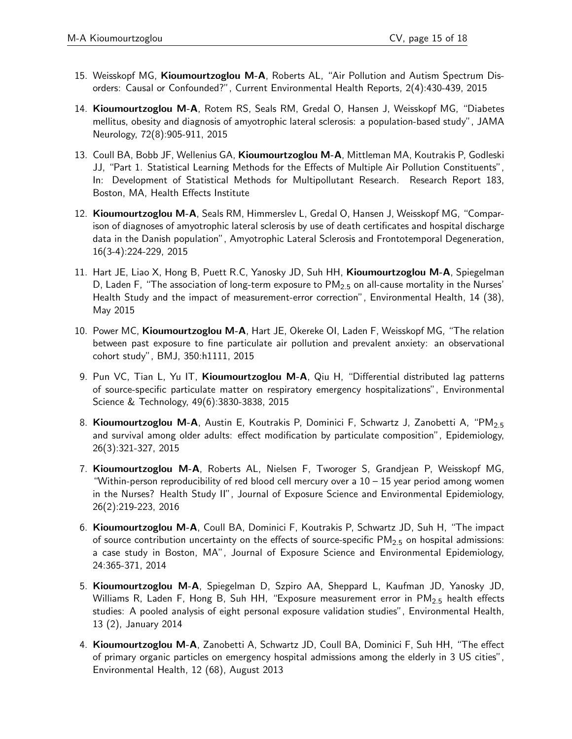- 15. Weisskopf MG, Kioumourtzoglou M-A, Roberts AL, "Air Pollution and Autism Spectrum Disorders: Causal or Confounded?", Current Environmental Health Reports, 2(4):430-439, 2015
- 14. Kioumourtzoglou M-A, Rotem RS, Seals RM, Gredal O, Hansen J, Weisskopf MG, "Diabetes mellitus, obesity and diagnosis of amyotrophic lateral sclerosis: a population-based study", JAMA Neurology, 72(8):905-911, 2015
- 13. Coull BA, Bobb JF, Wellenius GA, Kioumourtzoglou M-A, Mittleman MA, Koutrakis P, Godleski JJ, "Part 1. Statistical Learning Methods for the Effects of Multiple Air Pollution Constituents", In: Development of Statistical Methods for Multipollutant Research. Research Report 183, Boston, MA, Health Effects Institute
- 12. Kioumourtzoglou M-A, Seals RM, Himmerslev L, Gredal O, Hansen J, Weisskopf MG, "Comparison of diagnoses of amyotrophic lateral sclerosis by use of death certificates and hospital discharge data in the Danish population", Amyotrophic Lateral Sclerosis and Frontotemporal Degeneration, 16(3-4):224-229, 2015
- 11. Hart JE, Liao X, Hong B, Puett R.C, Yanosky JD, Suh HH, Kioumourtzoglou M-A, Spiegelman D, Laden F, "The association of long-term exposure to PM2*:*<sup>5</sup> on all-cause mortality in the Nurses' Health Study and the impact of measurement-error correction", Environmental Health, 14 (38), May 2015
- 10. Power MC, Kioumourtzoglou M-A, Hart JE, Okereke OI, Laden F, Weisskopf MG, "The relation between past exposure to fine particulate air pollution and prevalent anxiety: an observational cohort study", BMJ, 350:h1111, 2015
- 9. Pun VC, Tian L, Yu IT, Kioumourtzoglou M-A, Qiu H, "Differential distributed lag patterns of source-specific particulate matter on respiratory emergency hospitalizations", Environmental Science & Technology, 49(6):3830-3838, 2015
- 8. Kioumourtzoglou M-A, Austin E, Koutrakis P, Dominici F, Schwartz J, Zanobetti A, "PM2*:*<sup>5</sup> and survival among older adults: effect modification by particulate composition", Epidemiology, 26(3):321-327, 2015
- 7. Kioumourtzoglou M-A, Roberts AL, Nielsen F, Tworoger S, Grandjean P, Weisskopf MG, "Within-person reproducibility of red blood cell mercury over a 10 – 15 year period among women in the Nurses? Health Study II", Journal of Exposure Science and Environmental Epidemiology, 26(2):219-223, 2016
- 6. Kioumourtzoglou M-A, Coull BA, Dominici F, Koutrakis P, Schwartz JD, Suh H, "The impact of source contribution uncertainty on the effects of source-specific PM2*:*<sup>5</sup> on hospital admissions: a case study in Boston, MA", Journal of Exposure Science and Environmental Epidemiology, 24:365-371, 2014
- 5. Kioumourtzoglou M-A, Spiegelman D, Szpiro AA, Sheppard L, Kaufman JD, Yanosky JD, Williams R, Laden F, Hong B, Suh HH, "Exposure measurement error in PM2*:*<sup>5</sup> health effects studies: A pooled analysis of eight personal exposure validation studies", Environmental Health, 13 (2), January 2014
- 4. Kioumourtzoglou M-A, Zanobetti A, Schwartz JD, Coull BA, Dominici F, Suh HH, "The effect of primary organic particles on emergency hospital admissions among the elderly in 3 US cities", Environmental Health, 12 (68), August 2013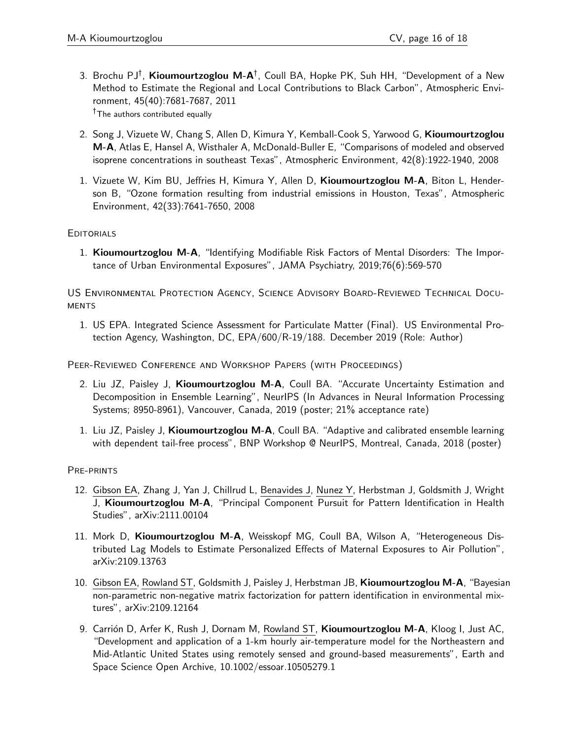- 3. Brochu PJ<sup>†</sup>, Kioumourtzoglou M-A<sup>†</sup>, Coull BA, Hopke PK, Suh HH, "Development of a New Method to Estimate the Regional and Local Contributions to Black Carbon", Atmospheric Environment, 45(40):7681-7687, 2011 <sup>†</sup>The authors contributed equally
- 2. Song J, Vizuete W, Chang S, Allen D, Kimura Y, Kemball-Cook S, Yarwood G, Kioumourtzoglou M-A, Atlas E, Hansel A, Wisthaler A, McDonald-Buller E, "Comparisons of modeled and observed isoprene concentrations in southeast Texas", Atmospheric Environment, 42(8):1922-1940, 2008
- 1. Vizuete W, Kim BU, Jeffries H, Kimura Y, Allen D, Kioumourtzoglou M-A, Biton L, Henderson B, "Ozone formation resulting from industrial emissions in Houston, Texas", Atmospheric Environment, 42(33):7641-7650, 2008

### **EDITORIALS**

1. Kioumourtzoglou M-A, "Identifying Modifiable Risk Factors of Mental Disorders: The Importance of Urban Environmental Exposures", JAMA Psychiatry, 2019;76(6):569-570

US Environmental Protection Agency, Science Advisory Board-Reviewed Technical Docu-**MENTS** 

1. US EPA. Integrated Science Assessment for Particulate Matter (Final). US Environmental Protection Agency, Washington, DC, EPA/600/R-19/188. December 2019 (Role: Author)

Peer-Reviewed Conference and Workshop Papers (with Proceedings)

- 2. Liu JZ, Paisley J, Kioumourtzoglou M-A, Coull BA. "Accurate Uncertainty Estimation and Decomposition in Ensemble Learning", NeurIPS (In Advances in Neural Information Processing Systems; 8950-8961), Vancouver, Canada, 2019 (poster; 21% acceptance rate)
- 1. Liu JZ, Paisley J, Kioumourtzoglou M-A, Coull BA. "Adaptive and calibrated ensemble learning with dependent tail-free process", BNP Workshop @ NeurIPS, Montreal, Canada, 2018 (poster)

PRE-PRINTS

- 12. Gibson EA, Zhang J, Yan J, Chillrud L, Benavides J, Nunez Y, Herbstman J, Goldsmith J, Wright J, Kioumourtzoglou M-A, "Principal Component Pursuit for Pattern Identification in Health Studies", arXiv:2111.00104
- 11. Mork D, Kioumourtzoglou M-A, Weisskopf MG, Coull BA, Wilson A, "Heterogeneous Distributed Lag Models to Estimate Personalized Effects of Maternal Exposures to Air Pollution", arXiv:2109.13763
- 10. Gibson EA, Rowland ST, Goldsmith J, Paisley J, Herbstman JB, Kioumourtzoglou M-A, "Bayesian non-parametric non-negative matrix factorization for pattern identification in environmental mixtures", arXiv:2109.12164
- 9. Carrión D, Arfer K, Rush J, Dornam M, Rowland ST, Kioumourtzoglou M-A, Kloog I, Just AC, "Development and application of a 1-km hourly air-temperature model for the Northeastern and Mid-Atlantic United States using remotely sensed and ground-based measurements", Earth and Space Science Open Archive, 10.1002/essoar.10505279.1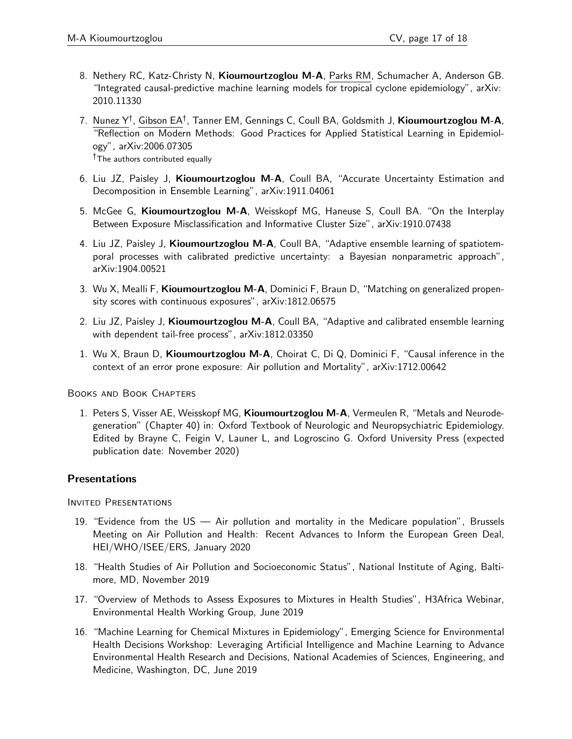- 8. Nethery RC, Katz-Christy N, Kioumourtzoglou M-A, Parks RM, Schumacher A, Anderson GB. "Integrated causal-predictive machine learning models for tropical cyclone epidemiology", arXiv: 2010.11330
- 7. Nunez Y<sup>†</sup>, Gibson EA<sup>†</sup>, Tanner EM, Gennings C, Coull BA, Goldsmith J, **Kioumourtzoglou M-A**, "Reflection on Modern Methods: Good Practices for Applied Statistical Learning in Epidemiology", arXiv:2006.07305 <sup>†</sup>The authors contributed equally
- 6. Liu JZ, Paisley J, Kioumourtzoglou M-A, Coull BA, "Accurate Uncertainty Estimation and Decomposition in Ensemble Learning", arXiv:1911.04061
- 5. McGee G, Kioumourtzoglou M-A, Weisskopf MG, Haneuse S, Coull BA. "On the Interplay Between Exposure Misclassification and Informative Cluster Size", arXiv:1910.07438
- 4. Liu JZ, Paisley J, Kioumourtzoglou M-A, Coull BA, "Adaptive ensemble learning of spatiotemporal processes with calibrated predictive uncertainty: a Bayesian nonparametric approach", arXiv:1904.00521
- 3. Wu X, Mealli F, Kioumourtzoglou M-A, Dominici F, Braun D, "Matching on generalized propensity scores with continuous exposures", arXiv:1812.06575
- 2. Liu JZ, Paisley J, Kioumourtzoglou M-A, Coull BA, "Adaptive and calibrated ensemble learning with dependent tail-free process", arXiv:1812.03350
- 1. Wu X, Braun D, Kioumourtzoglou M-A, Choirat C, Di Q, Dominici F, "Causal inference in the context of an error prone exposure: Air pollution and Mortality", arXiv:1712.00642

Books and Book Chapters

1. Peters S, Visser AE, Weisskopf MG, Kioumourtzoglou M-A, Vermeulen R, "Metals and Neurodegeneration" (Chapter 40) in: Oxford Textbook of Neurologic and Neuropsychiatric Epidemiology. Edited by Brayne C, Feigin V, Launer L, and Logroscino G. Oxford University Press (expected publication date: November 2020)

### **Presentations**

INVITED PRESENTATIONS

- 19. "Evidence from the US Air pollution and mortality in the Medicare population", Brussels Meeting on Air Pollution and Health: Recent Advances to Inform the European Green Deal, HEI/WHO/ISEE/ERS, January 2020
- 18. "Health Studies of Air Pollution and Socioeconomic Status", National Institute of Aging, Baltimore, MD, November 2019
- 17. "Overview of Methods to Assess Exposures to Mixtures in Health Studies", H3Africa Webinar, Environmental Health Working Group, June 2019
- 16. "Machine Learning for Chemical Mixtures in Epidemiology", Emerging Science for Environmental Health Decisions Workshop: Leveraging Artificial Intelligence and Machine Learning to Advance Environmental Health Research and Decisions, National Academies of Sciences, Engineering, and Medicine, Washington, DC, June 2019